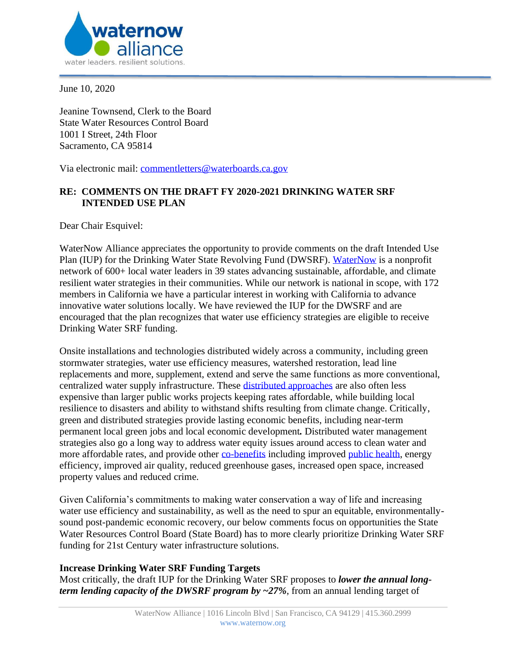

June 10, 2020

Jeanine Townsend, Clerk to the Board State Water Resources Control Board 1001 I Street, 24th Floor Sacramento, CA 95814

Via electronic mail: [commentletters@waterboards.ca.gov](mailto:commentletters@waterboards.ca.gov)

# **RE: COMMENTS ON THE DRAFT FY 2020-2021 DRINKING WATER SRF INTENDED USE PLAN**

Dear Chair Esquivel:

WaterNow Alliance appreciates the opportunity to provide comments on the draft Intended Use Plan (IUP) for the Drinking Water State Revolving Fund (DWSRF). [WaterNow](https://waternow.org/) is a nonprofit network of 600+ local water leaders in 39 states advancing sustainable, affordable, and climate resilient water strategies in their communities. While our network is national in scope, with 172 members in California we have a particular interest in working with California to advance innovative water solutions locally. We have reviewed the IUP for the DWSRF and are encouraged that the plan recognizes that water use efficiency strategies are eligible to receive Drinking Water SRF funding.

Onsite installations and technologies distributed widely across a community, including green stormwater strategies, water use efficiency measures, watershed restoration, lead line replacements and more, supplement, extend and serve the same functions as more conventional, centralized water supply infrastructure. These [distributed approaches](https://www.researchgate.net/publication/331066784_Sustainable_and_Resilient_Urban_Water_Systems_The_Role_of_Decentralization_and_Planning) are also often less expensive than larger public works projects keeping rates affordable, while building local resilience to disasters and ability to withstand shifts resulting from climate change. Critically, green and distributed strategies provide lasting economic benefits, including near-term permanent local green jobs and local economic development*.* Distributed water management strategies also go a long way to address water equity issues around access to clean water and more affordable rates, and provide other [co-benefits](https://pacinst.org/wp-content/uploads/2019/04/moving-toward-multi-benefit-approach.pdf) including improved [public health,](https://tapin.waternow.org/wp-content/uploads/sites/2/2019/06/PWD-Impact-Analysis.pdf) energy efficiency, improved air quality, reduced greenhouse gases, increased open space, increased property values and reduced crime.

Given California's commitments to making water conservation a way of life and increasing water use efficiency and sustainability, as well as the need to spur an equitable, environmentallysound post-pandemic economic recovery, our below comments focus on opportunities the State Water Resources Control Board (State Board) has to more clearly prioritize Drinking Water SRF funding for 21st Century water infrastructure solutions.

### **Increase Drinking Water SRF Funding Targets**

Most critically, the draft IUP for the Drinking Water SRF proposes to *lower the annual longterm lending capacity of the DWSRF program by ~27%*, from an annual lending target of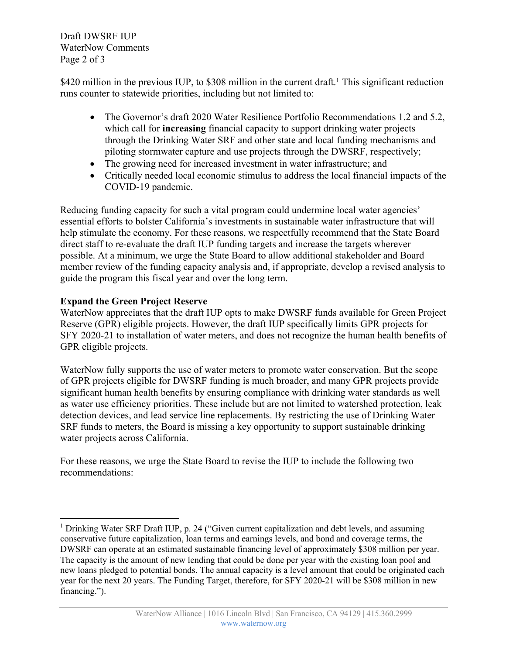Draft DWSRF IUP WaterNow Comments Page 2 of 3

\$420 million in the previous IUP, to \$308 million in the current draft.<sup>1</sup> This significant reduction runs counter to statewide priorities, including but not limited to:

- The Governor's draft 2020 Water Resilience Portfolio Recommendations 1.2 and 5.2, which call for **increasing** financial capacity to support drinking water projects through the Drinking Water SRF and other state and local funding mechanisms and piloting stormwater capture and use projects through the DWSRF, respectively;
- The growing need for increased investment in water infrastructure; and
- Critically needed local economic stimulus to address the local financial impacts of the COVID-19 pandemic.

Reducing funding capacity for such a vital program could undermine local water agencies' essential efforts to bolster California's investments in sustainable water infrastructure that will help stimulate the economy. For these reasons, we respectfully recommend that the State Board direct staff to re-evaluate the draft IUP funding targets and increase the targets wherever possible. At a minimum, we urge the State Board to allow additional stakeholder and Board member review of the funding capacity analysis and, if appropriate, develop a revised analysis to guide the program this fiscal year and over the long term.

## **Expand the Green Project Reserve**

WaterNow appreciates that the draft IUP opts to make DWSRF funds available for Green Project Reserve (GPR) eligible projects. However, the draft IUP specifically limits GPR projects for SFY 2020-21 to installation of water meters, and does not recognize the human health benefits of GPR eligible projects.

WaterNow fully supports the use of water meters to promote water conservation. But the scope of GPR projects eligible for DWSRF funding is much broader, and many GPR projects provide significant human health benefits by ensuring compliance with drinking water standards as well as water use efficiency priorities. These include but are not limited to watershed protection, leak detection devices, and lead service line replacements. By restricting the use of Drinking Water SRF funds to meters, the Board is missing a key opportunity to support sustainable drinking water projects across California.

For these reasons, we urge the State Board to revise the IUP to include the following two recommendations:

<sup>&</sup>lt;sup>1</sup> Drinking Water SRF Draft IUP, p. 24 ("Given current capitalization and debt levels, and assuming conservative future capitalization, loan terms and earnings levels, and bond and coverage terms, the DWSRF can operate at an estimated sustainable financing level of approximately \$308 million per year. The capacity is the amount of new lending that could be done per year with the existing loan pool and new loans pledged to potential bonds. The annual capacity is a level amount that could be originated each year for the next 20 years. The Funding Target, therefore, for SFY 2020-21 will be \$308 million in new financing.").